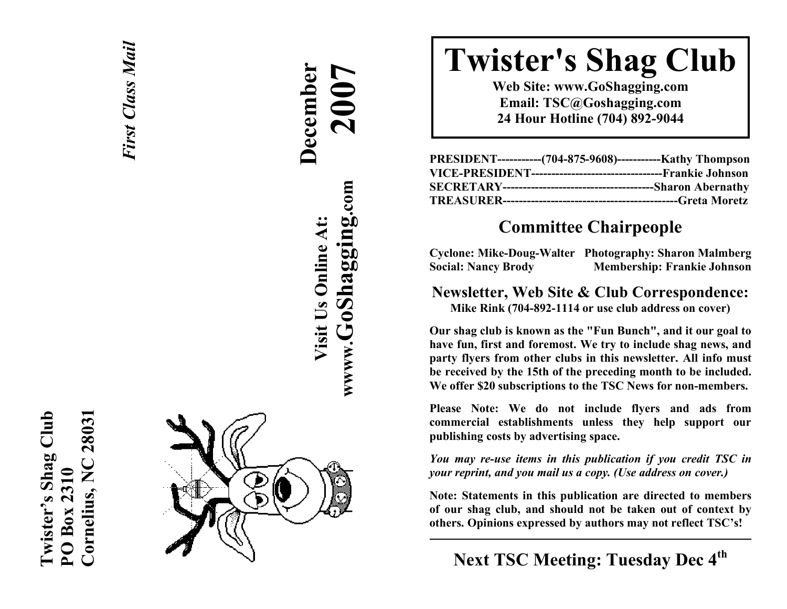



 **December 2007**

# **Twister's Shag Club**

**Web Site: www.GoShagging.com Email: TSC@Goshagging.com 24 Hour Hotline (704) 892-9044** 

| PRESIDENT------------(704-875-9608)------------Kathy Thompson |  |
|---------------------------------------------------------------|--|
|                                                               |  |
|                                                               |  |
|                                                               |  |

# **Committee Chairpeople**

**Cyclone: Mike-Doug-Walter Photography: Sharon Malmberg Social: Nancy Brody Membership: Frankie Johnson** 

**Newsletter, Web Site & Club Correspondence: Mike Rink (704-892-1114 or use club address on cover)** 

**Our shag club is known as the "Fun Bunch", and it our goal to have fun, first and foremost. We try to include shag news, and party flyers from other clubs in this newsletter. All info must be received by the 15th of the preceding month to be included. We offer \$20 subscriptions to the TSC News for non-members.** 

**Please Note: We do not include flyers and ads from commercial establishments unless they help support our publishing costs by advertising space.** 

*You may re-use items in this publication if you credit TSC in your reprint, and you mail us a copy. (Use address on cover.)* 

**Note: Statements in this publication are directed to members of our shag club, and should not be taken out of context by others. Opinions expressed by authors may not reflect TSC's!** 

**Next TSC Meeting: Tuesday Dec 4th**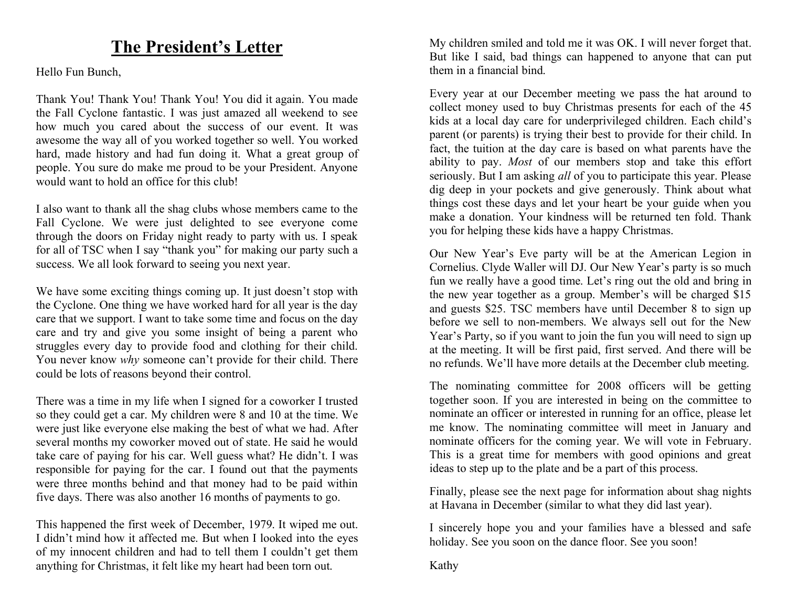## **The President's Letter**

Hello Fun Bunch,

Thank You! Thank You! Thank You! You did it again. You made the Fall Cyclone fantastic. I was just amazed all weekend to see how much you cared about the success of our event. It was awesome the way all of you worked together so well. You worked hard, made history and had fun doing it. What a great group of people. You sure do make me proud to be your President. Anyone would want to hold an office for this club!

I also want to thank all the shag clubs whose members came to the Fall Cyclone. We were just delighted to see everyone come through the doors on Friday night ready to party with us. I speak for all of TSC when I say "thank you" for making our party such a success. We all look forward to seeing you next year.

We have some exciting things coming up. It just doesn't stop with the Cyclone. One thing we have worked hard for all year is the day care that we support. I want to take some time and focus on the day care and try and give you some insight of being a parent who struggles every day to provide food and clothing for their child. You never know *why* someone can't provide for their child. There could be lots of reasons beyond their control.

There was a time in my life when I signed for a coworker I trusted so they could get a car. My children were 8 and 10 at the time. We were just like everyone else making the best of what we had. After several months my coworker moved out of state. He said he would take care of paying for his car. Well guess what? He didn't. I was responsible for paying for the car. I found out that the payments were three months behind and that money had to be paid within five days. There was also another 16 months of payments to go.

This happened the first week of December, 1979. It wiped me out. I didn't mind how it affected me. But when I looked into the eyes of my innocent children and had to tell them I couldn't get them anything for Christmas, it felt like my heart had been torn out.

My children smiled and told me it was OK. I will never forget that. But like I said, bad things can happened to anyone that can put them in a financial bind.

Every year at our December meeting we pass the hat around to collect money used to buy Christmas presents for each of the 45 kids at a local day care for underprivileged children. Each child's parent (or parents) is trying their best to provide for their child. In fact, the tuition at the day care is based on what parents have the ability to pay. *Most* of our members stop and take this effort seriously. But I am asking *all* of you to participate this year. Please dig deep in your pockets and give generously. Think about what things cost these days and let your heart be your guide when you make a donation. Your kindness will be returned ten fold. Thank you for helping these kids have a happy Christmas.

Our New Year's Eve party will be at the American Legion in Cornelius. Clyde Waller will DJ. Our New Year's party is so much fun we really have a good time. Let's ring out the old and bring in the new year together as a group. Member's will be charged \$15 and guests \$25. TSC members have until December 8 to sign up before we sell to non-members. We always sell out for the New Year's Party, so if you want to join the fun you will need to sign up at the meeting. It will be first paid, first served. And there will be no refunds. We'll have more details at the December club meeting.

The nominating committee for 2008 officers will be getting together soon. If you are interested in being on the committee to nominate an officer or interested in running for an office, please let me know. The nominating committee will meet in January and nominate officers for the coming year. We will vote in February. This is a great time for members with good opinions and great ideas to step up to the plate and be a part of this process.

Finally, please see the next page for information about shag nights at Havana in December (similar to what they did last year).

I sincerely hope you and your families have a blessed and safe holiday. See you soon on the dance floor. See you soon!

Kathy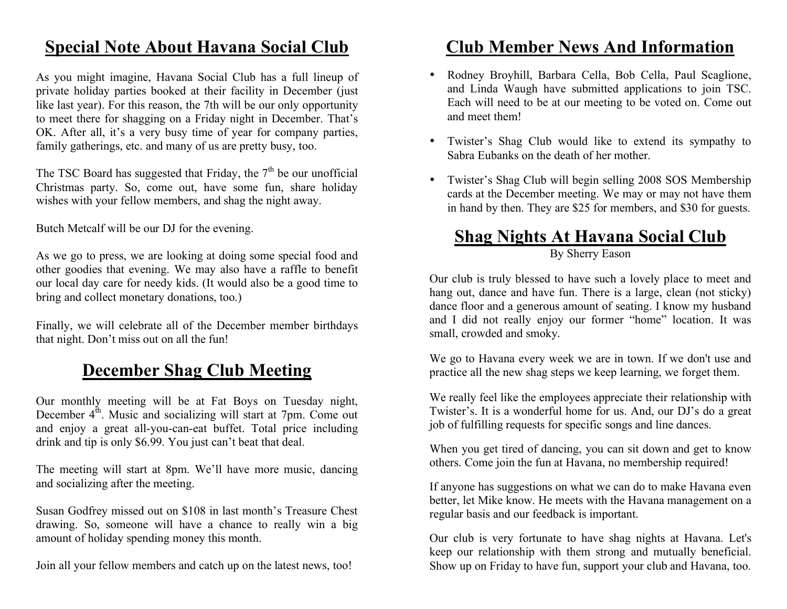# **Special Note About Havana Social Club**

As you might imagine, Havana Social Club has a full lineup of private holiday parties booked at their facility in December (just like last year). For this reason, the 7th will be our only opportunity to meet there for shagging on a Friday night in December. That's OK. After all, it's a very busy time of year for company parties, family gatherings, etc. and many of us are pretty busy, too.

The TSC Board has suggested that Friday, the  $7<sup>th</sup>$  be our unofficial Christmas party. So, come out, have some fun, share holiday wishes with your fellow members, and shag the night away.

Butch Metcalf will be our DJ for the evening.

As we go to press, we are looking at doing some special food and other goodies that evening. We may also have a raffle to benefit our local day care for needy kids. (It would also be a good time to bring and collect monetary donations, too.)

Finally, we will celebrate all of the December member birthdays that night. Don't miss out on all the fun!

# **December Shag Club Meeting**

Our monthly meeting will be at Fat Boys on Tuesday night, December  $4<sup>th</sup>$ . Music and socializing will start at 7pm. Come out and enjoy a great all-you-can-eat buffet. Total price including drink and tip is only \$6.99. You just can't beat that deal.

The meeting will start at 8pm. We'll have more music, dancing and socializing after the meeting.

Susan Godfrey missed out on \$108 in last month's Treasure Chest drawing. So, someone will have a chance to really win a big amount of holiday spending money this month.

Join all your fellow members and catch up on the latest news, too!

# **Club Member News And Information**

- Rodney Broyhill, Barbara Cella, Bob Cella, Paul Scaglione, and Linda Waugh have submitted applications to join TSC. Each will need to be at our meeting to be voted on. Come out and meet them!
- Twister's Shag Club would like to extend its sympathy to Sabra Eubanks on the death of her mother.
- Twister's Shag Club will begin selling 2008 SOS Membership cards at the December meeting. We may or may not have them in hand by then. They are \$25 for members, and \$30 for guests.

# **Shag Nights At Havana Social Club**

By Sherry Eason

Our club is truly blessed to have such a lovely place to meet and hang out, dance and have fun. There is a large, clean (not sticky) dance floor and a generous amount of seating. I know my husband and I did not really enjoy our former "home" location. It was small, crowded and smoky.

We go to Havana every week we are in town. If we don't use and practice all the new shag steps we keep learning, we forget them.

We really feel like the employees appreciate their relationship with Twister's. It is a wonderful home for us. And, our DJ's do a great job of fulfilling requests for specific songs and line dances.

When you get tired of dancing, you can sit down and get to know others. Come join the fun at Havana, no membership required!

If anyone has suggestions on what we can do to make Havana even better, let Mike know. He meets with the Havana management on a regular basis and our feedback is important.

Our club is very fortunate to have shag nights at Havana. Let's keep our relationship with them strong and mutually beneficial. Show up on Friday to have fun, support your club and Havana, too.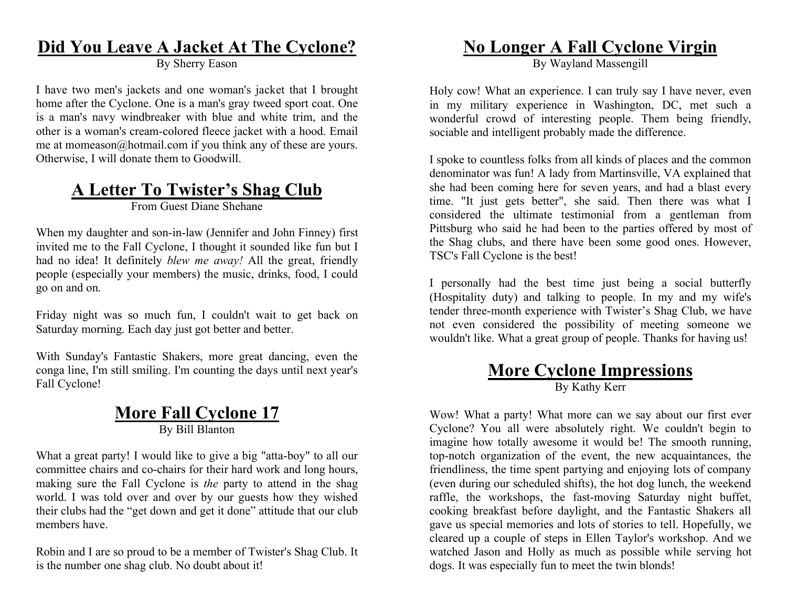### **Did You Leave A Jacket At The Cyclone?**

By Sherry Eason

I have two men's jackets and one woman's jacket that I brought home after the Cyclone. One is a man's gray tweed sport coat. One is a man's navy windbreaker with blue and white trim, and the other is a woman's cream-colored fleece jacket with a hood. Email me at momeason@hotmail.com if you think any of these are yours. Otherwise, I will donate them to Goodwill.

# **A Letter To Twister's Shag Club**

From Guest Diane Shehane

When my daughter and son-in-law (Jennifer and John Finney) first invited me to the Fall Cyclone, I thought it sounded like fun but I had no idea! It definitely *blew me away!* All the great, friendly people (especially your members) the music, drinks, food, I could go on and on.

Friday night was so much fun, I couldn't wait to get back on Saturday morning. Each day just got better and better.

With Sunday's Fantastic Shakers, more great dancing, even the conga line, I'm still smiling. I'm counting the days until next year's Fall Cyclone!

#### **More Fall Cyclone 17** By Bill Blanton

What a great party! I would like to give a big "atta-boy" to all our committee chairs and co-chairs for their hard work and long hours, making sure the Fall Cyclone is *the* party to attend in the shag world. I was told over and over by our guests how they wished their clubs had the "get down and get it done" attitude that our club members have.

Robin and I are so proud to be a member of Twister's Shag Club. It is the number one shag club. No doubt about it!

# **No Longer A Fall Cyclone Virgin**

By Wayland Massengill

Holy cow! What an experience. I can truly say I have never, even in my military experience in Washington, DC, met such a wonderful crowd of interesting people. Them being friendly, sociable and intelligent probably made the difference.

I spoke to countless folks from all kinds of places and the common denominator was fun! A lady from Martinsville, VA explained that she had been coming here for seven years, and had a blast every time. "It just gets better", she said. Then there was what I considered the ultimate testimonial from a gentleman from Pittsburg who said he had been to the parties offered by most of the Shag clubs, and there have been some good ones. However, TSC's Fall Cyclone is the best!

I personally had the best time just being a social butterfly (Hospitality duty) and talking to people. In my and my wife's tender three-month experience with Twister's Shag Club, we have not even considered the possibility of meeting someone we wouldn't like. What a great group of people. Thanks for having us!

#### **More Cyclone Impressions** By Kathy Kerr

Wow! What a party! What more can we say about our first ever Cyclone? You all were absolutely right. We couldn't begin to imagine how totally awesome it would be! The smooth running, top-notch organization of the event, the new acquaintances, the friendliness, the time spent partying and enjoying lots of company (even during our scheduled shifts), the hot dog lunch, the weekend raffle, the workshops, the fast-moving Saturday night buffet, cooking breakfast before daylight, and the Fantastic Shakers all gave us special memories and lots of stories to tell. Hopefully, we cleared up a couple of steps in Ellen Taylor's workshop. And we watched Jason and Holly as much as possible while serving hot dogs. It was especially fun to meet the twin blonds!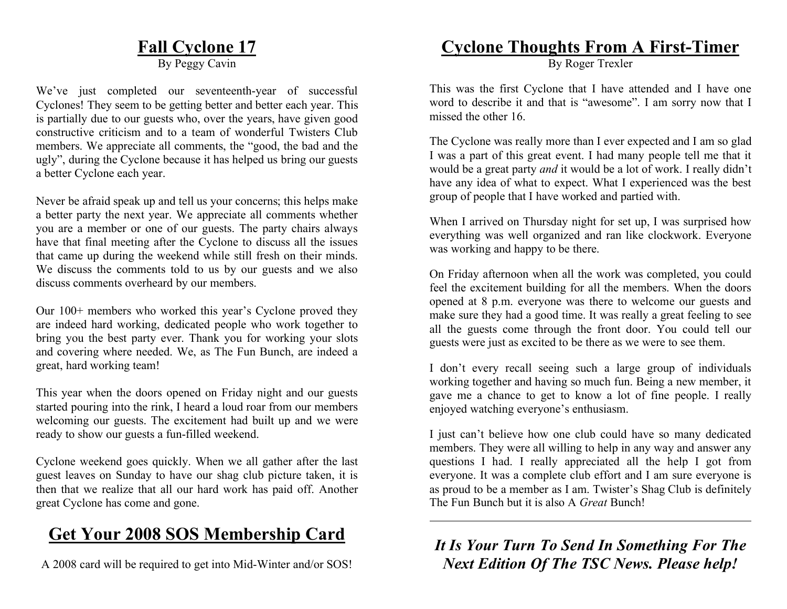# **Fall Cyclone 17**

By Peggy Cavin

We've just completed our seventeenth-year of successful Cyclones! They seem to be getting better and better each year. This is partially due to our guests who, over the years, have given good constructive criticism and to a team of wonderful Twisters Club members. We appreciate all comments, the "good, the bad and the ugly", during the Cyclone because it has helped us bring our guests a better Cyclone each year.

Never be afraid speak up and tell us your concerns; this helps make a better party the next year. We appreciate all comments whether you are a member or one of our guests. The party chairs always have that final meeting after the Cyclone to discuss all the issues that came up during the weekend while still fresh on their minds. We discuss the comments told to us by our guests and we also discuss comments overheard by our members.

Our 100+ members who worked this year's Cyclone proved they are indeed hard working, dedicated people who work together to bring you the best party ever. Thank you for working your slots and covering where needed. We, as The Fun Bunch, are indeed a great, hard working team!

This year when the doors opened on Friday night and our guests started pouring into the rink, I heard a loud roar from our members welcoming our guests. The excitement had built up and we were ready to show our guests a fun-filled weekend.

Cyclone weekend goes quickly. When we all gather after the last guest leaves on Sunday to have our shag club picture taken, it is then that we realize that all our hard work has paid off. Another great Cyclone has come and gone.

# **Get Your 2008 SOS Membership Card**

A 2008 card will be required to get into Mid-Winter and/or SOS!

### **Cyclone Thoughts From A First-Timer**

By Roger Trexler

This was the first Cyclone that I have attended and I have one word to describe it and that is "awesome". I am sorry now that I missed the other 16.

The Cyclone was really more than I ever expected and I am so glad I was a part of this great event. I had many people tell me that it would be a great party *and* it would be a lot of work. I really didn't have any idea of what to expect. What I experienced was the best group of people that I have worked and partied with.

When I arrived on Thursday night for set up, I was surprised how everything was well organized and ran like clockwork. Everyone was working and happy to be there.

On Friday afternoon when all the work was completed, you could feel the excitement building for all the members. When the doors opened at 8 p.m. everyone was there to welcome our guests and make sure they had a good time. It was really a great feeling to see all the guests come through the front door. You could tell our guests were just as excited to be there as we were to see them.

I don't every recall seeing such a large group of individuals working together and having so much fun. Being a new member, it gave me a chance to get to know a lot of fine people. I really enjoyed watching everyone's enthusiasm.

I just can't believe how one club could have so many dedicated members. They were all willing to help in any way and answer any questions I had. I really appreciated all the help I got from everyone. It was a complete club effort and I am sure everyone is as proud to be a member as I am. Twister's Shag Club is definitely The Fun Bunch but it is also A *Great* Bunch!

*It Is Your Turn To Send In Something For The Next Edition Of The TSC News. Please help!*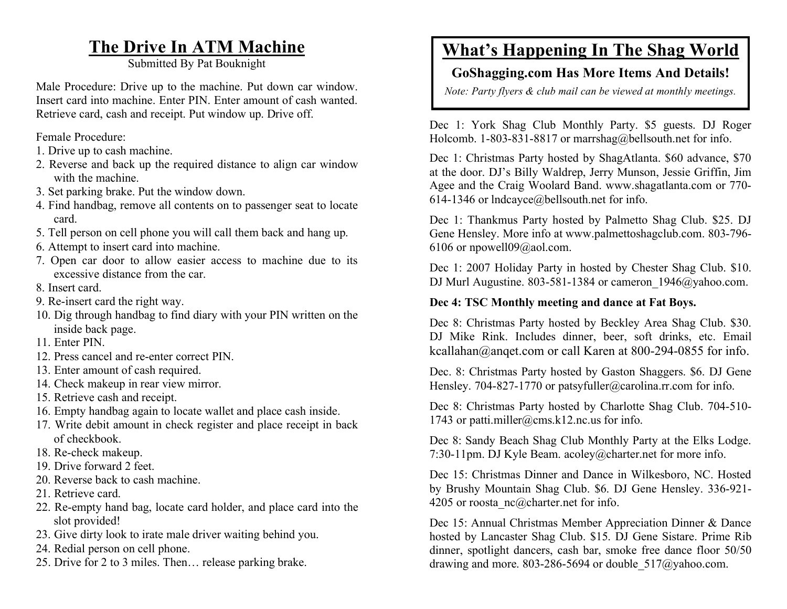# **The Drive In ATM Machine**

Submitted By Pat Bouknight

Male Procedure: Drive up to the machine. Put down car window. Insert card into machine. Enter PIN. Enter amount of cash wanted. Retrieve card, cash and receipt. Put window up. Drive off.

Female Procedure:

- 1. Drive up to cash machine.
- 2. Reverse and back up the required distance to align car window with the machine.
- 3. Set parking brake. Put the window down.
- 4. Find handbag, remove all contents on to passenger seat to locate card.
- 5. Tell person on cell phone you will call them back and hang up.
- 6. Attempt to insert card into machine.
- 7. Open car door to allow easier access to machine due to its excessive distance from the car.
- 8. Insert card.
- 9. Re-insert card the right way.
- 10. Dig through handbag to find diary with your PIN written on the inside back page.
- 11. Enter PIN.
- 12. Press cancel and re-enter correct PIN.
- 13. Enter amount of cash required.
- 14. Check makeup in rear view mirror.
- 15. Retrieve cash and receipt.
- 16. Empty handbag again to locate wallet and place cash inside.
- 17. Write debit amount in check register and place receipt in back of checkbook.
- 18. Re-check makeup.
- 19. Drive forward 2 feet.
- 20. Reverse back to cash machine.
- 21. Retrieve card.
- 22. Re-empty hand bag, locate card holder, and place card into the slot provided!
- 23. Give dirty look to irate male driver waiting behind you.
- 24. Redial person on cell phone.
- 25. Drive for 2 to 3 miles. Then… release parking brake.

# **What's Happening In The Shag World**

#### **GoShagging.com Has More Items And Details!**

*Note: Party flyers & club mail can be viewed at monthly meetings.* 

Dec 1: York Shag Club Monthly Party. \$5 guests. DJ Roger Holcomb. 1-803-831-8817 or marrshag@bellsouth.net for info.

Dec 1: Christmas Party hosted by ShagAtlanta. \$60 advance, \$70 at the door. DJ's Billy Waldrep, Jerry Munson, Jessie Griffin, Jim Agee and the Craig Woolard Band. www.shagatlanta.com or 770- 614-1346 or lndcayce@bellsouth.net for info.

Dec 1: Thankmus Party hosted by Palmetto Shag Club. \$25. DJ Gene Hensley. More info at www.palmettoshagclub.com. 803-796- 6106 or npowell09@aol.com.

Dec 1: 2007 Holiday Party in hosted by Chester Shag Club. \$10. DJ Murl Augustine. 803-581-1384 or cameron  $1946@yahoo.com$ .

#### **Dec 4: TSC Monthly meeting and dance at Fat Boys.**

Dec 8: Christmas Party hosted by Beckley Area Shag Club. \$30. DJ Mike Rink. Includes dinner, beer, soft drinks, etc. Email kcallahan@anqet.com or call Karen at 800-294-0855 for info.

Dec. 8: Christmas Party hosted by Gaston Shaggers. \$6. DJ Gene Hensley. 704-827-1770 or patsyfuller@carolina.rr.com for info.

Dec 8: Christmas Party hosted by Charlotte Shag Club. 704-510- 1743 or patti.miller@cms.k12.nc.us for info.

Dec 8: Sandy Beach Shag Club Monthly Party at the Elks Lodge. 7:30-11pm. DJ Kyle Beam. acoley@charter.net for more info.

Dec 15: Christmas Dinner and Dance in Wilkesboro, NC. Hosted by Brushy Mountain Shag Club. \$6. DJ Gene Hensley. 336-921- 4205 or roosta nc@charter.net for info.

Dec 15: Annual Christmas Member Appreciation Dinner & Dance hosted by Lancaster Shag Club. \$15. DJ Gene Sistare. Prime Rib dinner, spotlight dancers, cash bar, smoke free dance floor 50/50 drawing and more. 803-286-5694 or double\_517@yahoo.com.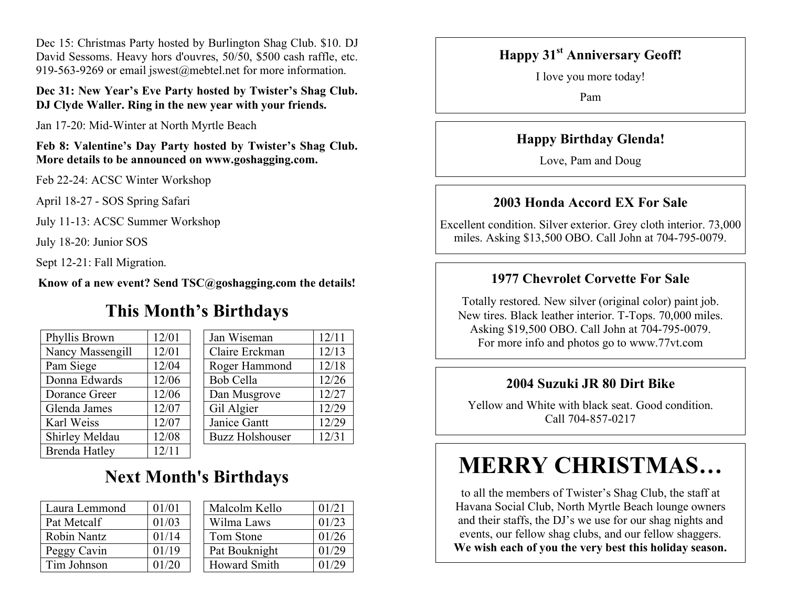Dec 15: Christmas Party hosted by Burlington Shag Club. \$10. DJ David Sessoms. Heavy hors d'ouvres, 50/50, \$500 cash raffle, etc. 919-563-9269 or email jswest@mebtel.net for more information.

#### **Dec 31: New Year's Eve Party hosted by Twister's Shag Club. DJ Clyde Waller. Ring in the new year with your friends.**

Jan 17-20: Mid-Winter at North Myrtle Beach

**Feb 8: Valentine's Day Party hosted by Twister's Shag Club. More details to be announced on www.goshagging.com.** 

Feb 22-24: ACSC Winter Workshop

April 18-27 - SOS Spring Safari

July 11-13: ACSC Summer Workshop

July 18-20: Junior SOS

Sept 12-21: Fall Migration.

**Know of a new event? Send TSC@goshagging.com the details!** 

## **This Month's Birthdays**

| Phyllis Brown        | 12/01 | Jan Wiseman            | 12/11 |
|----------------------|-------|------------------------|-------|
| Nancy Massengill     | 12/01 | Claire Erckman         | 12/13 |
| Pam Siege            | 12/04 | Roger Hammond          | 12/18 |
| Donna Edwards        | 12/06 | <b>Bob Cella</b>       | 12/26 |
| Dorance Greer        | 12/06 | Dan Musgrove           | 12/27 |
| Glenda James         | 12/07 | Gil Algier             | 12/29 |
| Karl Weiss           | 12/07 | Janice Gantt           | 12/29 |
| Shirley Meldau       | 12/08 | <b>Buzz Holshouser</b> | 12/31 |
| <b>Brenda Hatley</b> | 12/11 |                        |       |

| Jan Wiseman            | 12/11 |
|------------------------|-------|
| Claire Erckman         | 12/13 |
| Roger Hammond          | 12/18 |
| Bob Cella              | 12/26 |
| Dan Musgrove           | 12/27 |
| Gil Algier             | 12/29 |
| Janice Gantt           | 12/29 |
| <b>Buzz Holshouser</b> | 12/31 |
|                        |       |

# **Next Month's Birthdays**

| Laura Lemmond      | 01/01 |
|--------------------|-------|
| Pat Metcalf        | 01/03 |
| <b>Robin Nantz</b> | 01/14 |
| Peggy Cavin        | 01/19 |
| Tim Johnson        | 01/20 |

| Laura Lemmond | 01/01 | Malcolm Kello       | 01/21 |
|---------------|-------|---------------------|-------|
| Pat Metcalf   | 01/03 | Wilma Laws          | 01/23 |
| Robin Nantz   | 01/14 | Tom Stone           | 01/26 |
| Peggy Cavin   | 01/19 | Pat Bouknight       | 01/29 |
| Tim Johnson   | 01/20 | <b>Howard Smith</b> | 01/29 |

#### **Happy 31st Anniversary Geoff!**

I love you more today!

Pam

#### **Happy Birthday Glenda!**

Love, Pam and Doug

#### **2003 Honda Accord EX For Sale**

Excellent condition. Silver exterior. Grey cloth interior. 73,000 miles. Asking \$13,500 OBO. Call John at 704-795-0079.

#### **1977 Chevrolet Corvette For Sale**

Totally restored. New silver (original color) paint job. New tires. Black leather interior. T-Tops. 70,000 miles. Asking \$19,500 OBO. Call John at 704-795-0079. For more info and photos go to www.77vt.com

#### **2004 Suzuki JR 80 Dirt Bike**

Yellow and White with black seat. Good condition. Call 704-857-0217

# **MERRY CHRISTMAS…**

to all the members of Twister's Shag Club, the staff at Havana Social Club, North Myrtle Beach lounge owners and their staffs, the DJ's we use for our shag nights and events, our fellow shag clubs, and our fellow shaggers. **We wish each of you the very best this holiday season.**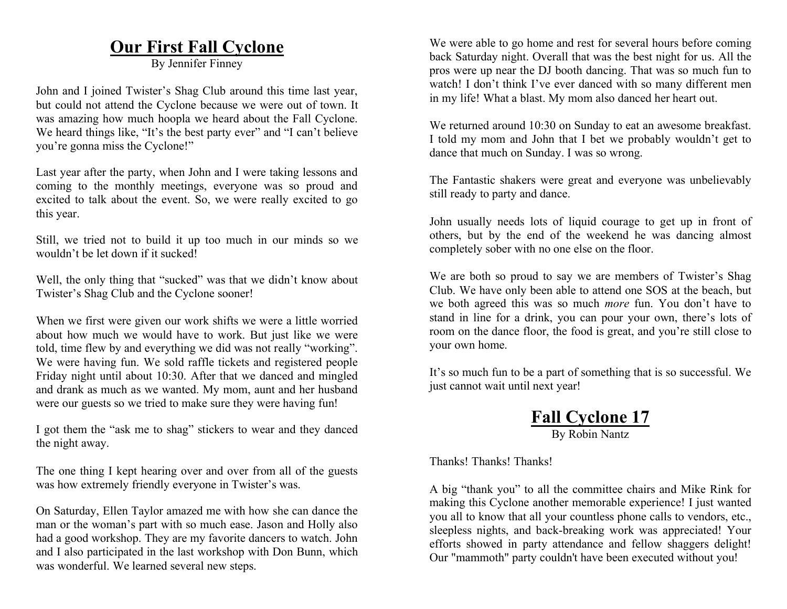#### **Our First Fall Cyclone**

By Jennifer Finney

John and I joined Twister's Shag Club around this time last year, but could not attend the Cyclone because we were out of town. It was amazing how much hoopla we heard about the Fall Cyclone. We heard things like, "It's the best party ever" and "I can't believe you're gonna miss the Cyclone!"

Last year after the party, when John and I were taking lessons and coming to the monthly meetings, everyone was so proud and excited to talk about the event. So, we were really excited to go this year.

Still, we tried not to build it up too much in our minds so we wouldn't be let down if it sucked!

Well, the only thing that "sucked" was that we didn't know about Twister's Shag Club and the Cyclone sooner!

When we first were given our work shifts we were a little worried about how much we would have to work. But just like we were told, time flew by and everything we did was not really "working". We were having fun. We sold raffle tickets and registered people Friday night until about 10:30. After that we danced and mingled and drank as much as we wanted. My mom, aunt and her husband were our guests so we tried to make sure they were having fun!

I got them the "ask me to shag" stickers to wear and they danced the night away.

The one thing I kept hearing over and over from all of the guests was how extremely friendly everyone in Twister's was.

On Saturday, Ellen Taylor amazed me with how she can dance the man or the woman's part with so much ease. Jason and Holly also had a good workshop. They are my favorite dancers to watch. John and I also participated in the last workshop with Don Bunn, which was wonderful. We learned several new steps.

We were able to go home and rest for several hours before coming back Saturday night. Overall that was the best night for us. All the pros were up near the DJ booth dancing. That was so much fun to watch! I don't think I've ever danced with so many different men in my life! What a blast. My mom also danced her heart out.

We returned around 10:30 on Sunday to eat an awesome breakfast. I told my mom and John that I bet we probably wouldn't get to dance that much on Sunday. I was so wrong.

The Fantastic shakers were great and everyone was unbelievably still ready to party and dance.

John usually needs lots of liquid courage to get up in front of others, but by the end of the weekend he was dancing almost completely sober with no one else on the floor.

We are both so proud to say we are members of Twister's Shag Club. We have only been able to attend one SOS at the beach, but we both agreed this was so much *more* fun. You don't have to stand in line for a drink, you can pour your own, there's lots of room on the dance floor, the food is great, and you're still close to your own home.

It's so much fun to be a part of something that is so successful. We just cannot wait until next year!

> **Fall Cyclone 17** By Robin Nantz

Thanks! Thanks! Thanks!

A big "thank you" to all the committee chairs and Mike Rink for making this Cyclone another memorable experience! I just wanted you all to know that all your countless phone calls to vendors, etc., sleepless nights, and back-breaking work was appreciated! Your efforts showed in party attendance and fellow shaggers delight! Our "mammoth" party couldn't have been executed without you!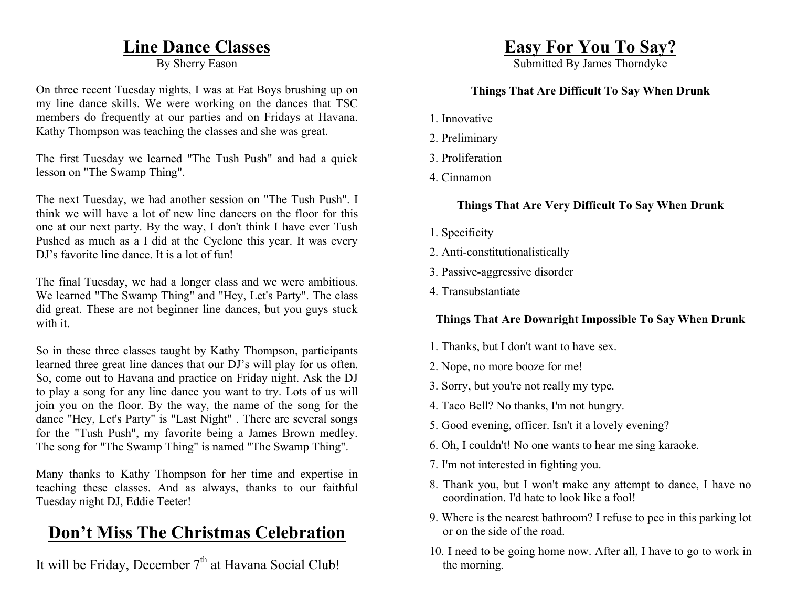### **Line Dance Classes**

By Sherry Eason

On three recent Tuesday nights, I was at Fat Boys brushing up on my line dance skills. We were working on the dances that TSC members do frequently at our parties and on Fridays at Havana. Kathy Thompson was teaching the classes and she was great.

The first Tuesday we learned "The Tush Push" and had a quick lesson on "The Swamp Thing".

The next Tuesday, we had another session on "The Tush Push". I think we will have a lot of new line dancers on the floor for this one at our next party. By the way, I don't think I have ever Tush Pushed as much as a I did at the Cyclone this year. It was every DJ's favorite line dance. It is a lot of fun!

The final Tuesday, we had a longer class and we were ambitious. We learned "The Swamp Thing" and "Hey, Let's Party". The class did great. These are not beginner line dances, but you guys stuck with it.

So in these three classes taught by Kathy Thompson, participants learned three great line dances that our DJ's will play for us often. So, come out to Havana and practice on Friday night. Ask the DJ to play a song for any line dance you want to try. Lots of us will join you on the floor. By the way, the name of the song for the dance "Hey, Let's Party" is "Last Night" . There are several songs for the "Tush Push", my favorite being a James Brown medley. The song for "The Swamp Thing" is named "The Swamp Thing".

Many thanks to Kathy Thompson for her time and expertise in teaching these classes. And as always, thanks to our faithful Tuesday night DJ, Eddie Teeter!

# **Don't Miss The Christmas Celebration**

It will be Friday, December  $7<sup>th</sup>$  at Havana Social Club!

# **Easy For You To Say?**

Submitted By James Thorndyke

#### **Things That Are Difficult To Say When Drunk**

- 1. Innovative
- 2. Preliminary
- 3. Proliferation
- 4. Cinnamon

#### **Things That Are Very Difficult To Say When Drunk**

- 1. Specificity
- 2. Anti-constitutionalistically
- 3. Passive-aggressive disorder
- 4. Transubstantiate

#### **Things That Are Downright Impossible To Say When Drunk**

- 1. Thanks, but I don't want to have sex.
- 2. Nope, no more booze for me!
- 3. Sorry, but you're not really my type.
- 4. Taco Bell? No thanks, I'm not hungry.
- 5. Good evening, officer. Isn't it a lovely evening?
- 6. Oh, I couldn't! No one wants to hear me sing karaoke.
- 7. I'm not interested in fighting you.
- 8. Thank you, but I won't make any attempt to dance, I have no coordination. I'd hate to look like a fool!
- 9. Where is the nearest bathroom? I refuse to pee in this parking lot or on the side of the road.
- 10. I need to be going home now. After all, I have to go to work in the morning.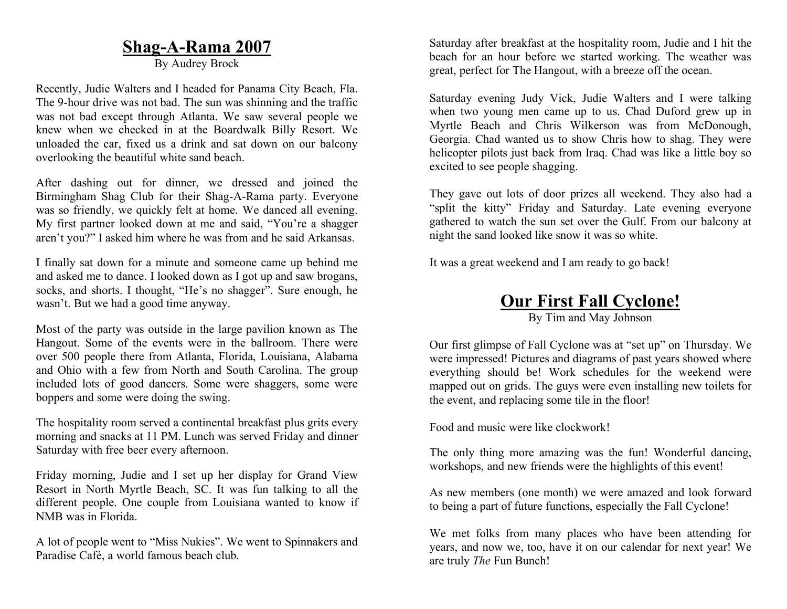#### **Shag-A-Rama 2007**

By Audrey Brock

Recently, Judie Walters and I headed for Panama City Beach, Fla. The 9-hour drive was not bad. The sun was shinning and the traffic was not bad except through Atlanta. We saw several people we knew when we checked in at the Boardwalk Billy Resort. We unloaded the car, fixed us a drink and sat down on our balcony overlooking the beautiful white sand beach.

After dashing out for dinner, we dressed and joined the Birmingham Shag Club for their Shag-A-Rama party. Everyone was so friendly, we quickly felt at home. We danced all evening. My first partner looked down at me and said, "You're a shagger aren't you?" I asked him where he was from and he said Arkansas.

I finally sat down for a minute and someone came up behind me and asked me to dance. I looked down as I got up and saw brogans, socks, and shorts. I thought, "He's no shagger". Sure enough, he wasn't. But we had a good time anyway.

Most of the party was outside in the large pavilion known as The Hangout. Some of the events were in the ballroom. There were over 500 people there from Atlanta, Florida, Louisiana, Alabama and Ohio with a few from North and South Carolina. The group included lots of good dancers. Some were shaggers, some were boppers and some were doing the swing.

The hospitality room served a continental breakfast plus grits every morning and snacks at 11 PM. Lunch was served Friday and dinner Saturday with free beer every afternoon.

Friday morning, Judie and I set up her display for Grand View Resort in North Myrtle Beach, SC. It was fun talking to all the different people. One couple from Louisiana wanted to know if NMB was in Florida.

A lot of people went to "Miss Nukies". We went to Spinnakers and Paradise Café, a world famous beach club.

Saturday after breakfast at the hospitality room, Judie and I hit the beach for an hour before we started working. The weather was great, perfect for The Hangout, with a breeze off the ocean.

Saturday evening Judy Vick, Judie Walters and I were talking when two young men came up to us. Chad Duford grew up in Myrtle Beach and Chris Wilkerson was from McDonough, Georgia. Chad wanted us to show Chris how to shag. They were helicopter pilots just back from Iraq. Chad was like a little boy so excited to see people shagging.

They gave out lots of door prizes all weekend. They also had a "split the kitty" Friday and Saturday. Late evening everyone gathered to watch the sun set over the Gulf. From our balcony at night the sand looked like snow it was so white.

It was a great weekend and I am ready to go back!

#### **Our First Fall Cyclone!**

By Tim and May Johnson

Our first glimpse of Fall Cyclone was at "set up" on Thursday. We were impressed! Pictures and diagrams of past years showed where everything should be! Work schedules for the weekend were mapped out on grids. The guys were even installing new toilets for the event, and replacing some tile in the floor!

Food and music were like clockwork!

The only thing more amazing was the fun! Wonderful dancing, workshops, and new friends were the highlights of this event!

As new members (one month) we were amazed and look forward to being a part of future functions, especially the Fall Cyclone!

We met folks from many places who have been attending for years, and now we, too, have it on our calendar for next year! We are truly *The* Fun Bunch!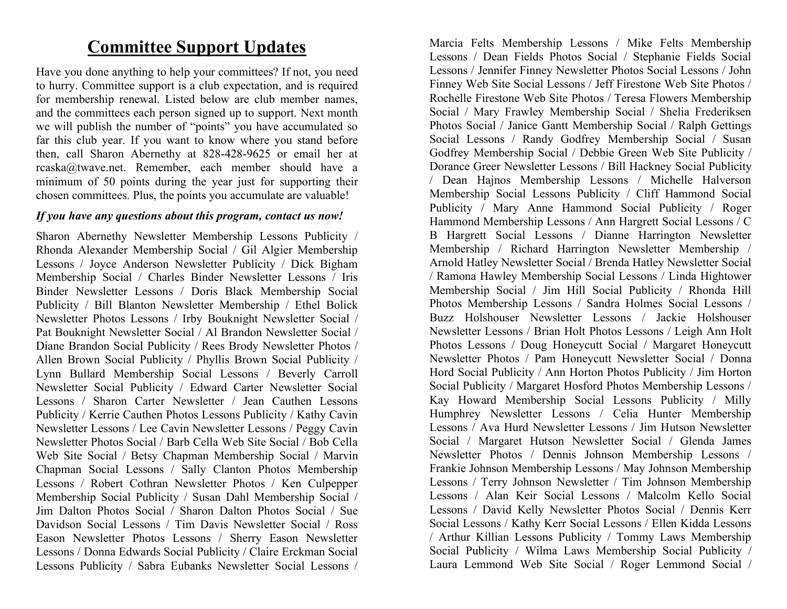# **Committee Support Updates**

Have you done anything to help your committees? If not, you need to hurry. Committee support is a club expectation, and is required for membership renewal. Listed below are club member names, and the committees each person signed up to support. Next month we will publish the number of "points" you have accumulated so far this club year. If you want to know where you stand before then, call Sharon Abernethy at 828-428-9625 or email her at rcaska@twave.net. Remember, each member should have a minimum of 50 points during the year just for supporting their chosen committees. Plus, the points you accumulate are valuable!

#### *If you have any questions about this program, contact us now!*

Sharon Abernethy Newsletter Membership Lessons Publicity / Rhonda Alexander Membership Social / Gil Algier Membership Lessons / Joyce Anderson Newsletter Publicity / Dick Bigham Membership Social / Charles Binder Newsletter Lessons / Iris Binder Newsletter Lessons / Doris Black Membership Social Publicity / Bill Blanton Newsletter Membership / Ethel Bolick Newsletter Photos Lessons / Irby Bouknight Newsletter Social / Pat Bouknight Newsletter Social / Al Brandon Newsletter Social / Diane Brandon Social Publicity / Rees Brody Newsletter Photos / Allen Brown Social Publicity / Phyllis Brown Social Publicity / Lynn Bullard Membership Social Lessons / Beverly Carroll Newsletter Social Publicity / Edward Carter Newsletter Social Lessons / Sharon Carter Newsletter / Jean Cauthen Lessons Publicity / Kerrie Cauthen Photos Lessons Publicity / Kathy Cavin Newsletter Lessons / Lee Cavin Newsletter Lessons / Peggy Cavin Newsletter Photos Social / Barb Cella Web Site Social / Bob Cella Web Site Social / Betsy Chapman Membership Social / Marvin Chapman Social Lessons / Sally Clanton Photos Membership Lessons / Robert Cothran Newsletter Photos / Ken Culpepper Membership Social Publicity / Susan Dahl Membership Social / Jim Dalton Photos Social / Sharon Dalton Photos Social / Sue Davidson Social Lessons / Tim Davis Newsletter Social / Ross Eason Newsletter Photos Lessons / Sherry Eason Newsletter Lessons / Donna Edwards Social Publicity / Claire Erckman Social Lessons Publicity / Sabra Eubanks Newsletter Social Lessons /

Marcia Felts Membership Lessons / Mike Felts Membership Lessons / Dean Fields Photos Social / Stephanie Fields Social Lessons / Jennifer Finney Newsletter Photos Social Lessons / John Finney Web Site Social Lessons / Jeff Firestone Web Site Photos / Rochelle Firestone Web Site Photos / Teresa Flowers Membership Social / Mary Frawley Membership Social / Shelia Frederiksen Photos Social / Janice Gantt Membership Social / Ralph Gettings Social Lessons / Randy Godfrey Membership Social / Susan Godfrey Membership Social / Debbie Green Web Site Publicity / Dorance Greer Newsletter Lessons / Bill Hackney Social Publicity / Dean Hajnos Membership Lessons / Michelle Halverson Membership Social Lessons Publicity / Cliff Hammond Social Publicity / Mary Anne Hammond Social Publicity / Roger Hammond Membership Lessons / Ann Hargrett Social Lessons / C B Hargrett Social Lessons / Dianne Harrington Newsletter Membership / Richard Harrington Newsletter Membership / Arnold Hatley Newsletter Social / Brenda Hatley Newsletter Social / Ramona Hawley Membership Social Lessons / Linda Hightower Membership Social / Jim Hill Social Publicity / Rhonda Hill Photos Membership Lessons / Sandra Holmes Social Lessons / Buzz Holshouser Newsletter Lessons / Jackie Holshouser Newsletter Lessons / Brian Holt Photos Lessons / Leigh Ann Holt Photos Lessons / Doug Honeycutt Social / Margaret Honeycutt Newsletter Photos / Pam Honeycutt Newsletter Social / Donna Hord Social Publicity / Ann Horton Photos Publicity / Jim Horton Social Publicity / Margaret Hosford Photos Membership Lessons / Kay Howard Membership Social Lessons Publicity / Milly Humphrey Newsletter Lessons / Celia Hunter Membership Lessons / Ava Hurd Newsletter Lessons / Jim Hutson Newsletter Social / Margaret Hutson Newsletter Social / Glenda James Newsletter Photos / Dennis Johnson Membership Lessons / Frankie Johnson Membership Lessons / May Johnson Membership Lessons / Terry Johnson Newsletter / Tim Johnson Membership Lessons / Alan Keir Social Lessons / Malcolm Kello Social Lessons / David Kelly Newsletter Photos Social / Dennis Kerr Social Lessons / Kathy Kerr Social Lessons / Ellen Kidda Lessons / Arthur Killian Lessons Publicity / Tommy Laws Membership Social Publicity / Wilma Laws Membership Social Publicity / Laura Lemmond Web Site Social / Roger Lemmond Social /